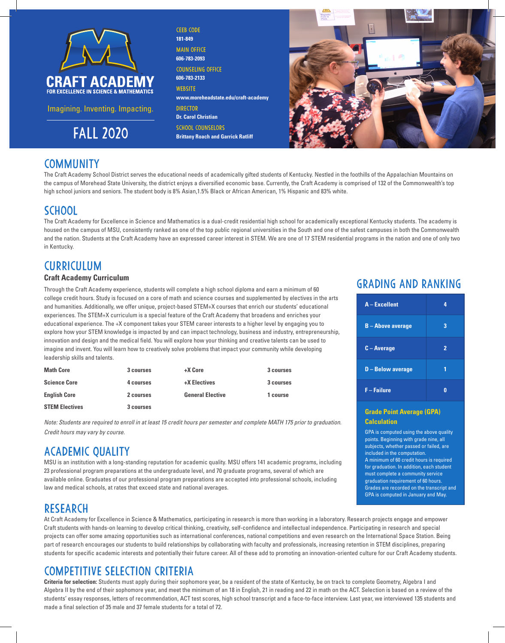

Imagining. Inventing. Impacting.

**181-849 MAIN OFFICE 606-783-2093**  Counseling office **606-783-2133 WERSITE www.moreheadstate.edu/craft-academy DIRECTOR Dr. Carol Christian FALL 2020 Brittany Roach and Garrick Ratliff** 

CEEB code



### **COMMUNITY**

The Craft Academy School District serves the educational needs of academically gifted students of Kentucky. Nestled in the foothills of the Appalachian Mountains on the campus of Morehead State University, the district enjoys a diversified economic base. Currently, the Craft Academy is comprised of 132 of the Commonwealth's top high school juniors and seniors. The student body is 8% Asian,1.5% Black or African American, 1% Hispanic and 83% white.

## **SCHOOL**

The Craft Academy for Excellence in Science and Mathematics is a dual-credit residential high school for academically exceptional Kentucky students. The academy is housed on the campus of MSU, consistently ranked as one of the top public regional universities in the South and one of the safest campuses in both the Commonwealth and the nation. Students at the Craft Academy have an expressed career interest in STEM. We are one of 17 STEM residential programs in the nation and one of only two in Kentucky.

# **CURRICULUM**

#### **Craft Academy Curriculum**

Through the Craft Academy experience, students will complete a high school diploma and earn a minimum of 60 college credit hours. Study is focused on a core of math and science courses and supplemented by electives in the arts and humanities. Additionally, we offer unique, project-based STEM+X courses that enrich our students' educational experiences. The STEM+X curriculum is a special feature of the Craft Academy that broadens and enriches your educational experience. The +X component takes your STEM career interests to a higher level by engaging you to explore how your STEM knowledge is impacted by and can impact technology, business and industry, entrepreneurship, innovation and design and the medical field. You will explore how your thinking and creative talents can be used to imagine and invent. You will learn how to creatively solve problems that impact your community while developing leadership skills and talents.

| <b>Math Core</b>      | 3 courses | +X Core                 | 3 courses |
|-----------------------|-----------|-------------------------|-----------|
| <b>Science Core</b>   | 4 courses | +X Electives            | 3 courses |
| <b>English Core</b>   | 2 courses | <b>General Elective</b> | 1 course  |
| <b>STEM Electives</b> | 3 courses |                         |           |

*Note: Students are required to enroll in at least 15 credit hours per semester and complete MATH 175 prior to graduation. Credit hours may vary by course.*

### ACADEMIC QUALITY

MSU is an institution with a long-standing reputation for academic quality. MSU offers 141 academic programs, including 23 professional program preparations at the undergraduate level, and 70 graduate programs, several of which are available online. Graduates of our professional program preparations are accepted into professional schools, including law and medical schools, at rates that exceed state and national averages.

### RESEARCH

At Craft Academy for Excellence in Science & Mathematics, participating in research is more than working in a laboratory. Research projects engage and empower Craft students with hands-on learning to develop critical thinking, creativity, self-confidence and intellectual independence. Participating in research and special projects can offer some amazing opportunities such as international conferences, national competitions and even research on the International Space Station. Being part of research encourages our students to build relationships by collaborating with faculty and professionals, increasing retention in STEM disciplines, preparing students for specific academic interests and potentially their future career. All of these add to promoting an innovation-oriented culture for our Craft Academy students.

# Competitive Selection Criteria

**Criteria for selection:** Students must apply during their sophomore year, be a resident of the state of Kentucky, be on track to complete Geometry, Algebra I and Algebra II by the end of their sophomore year, and meet the minimum of an 18 in English, 21 in reading and 22 in math on the ACT. Selection is based on a review of the students' essay responses, letters of recommendation, ACT test scores, high school transcript and a face-to-face interview. Last year, we interviewed 135 students and made a final selection of 35 male and 37 female students for a total of 72.

# Grading and Ranking

| A - Excellent            | 4              |
|--------------------------|----------------|
| <b>B-Above average</b>   | 3              |
| $C - Average$            | $\overline{2}$ |
| <b>D</b> - Below average |                |
| <b>F-Failure</b>         |                |

#### **Grade Point Average (GPA) Calculation**

GPA is computed using the above quality points. Beginning with grade nine, all subjects, whether passed or failed, are included in the computation. A minimum of 60 credit hours is required for graduation. In addition, each student must complete a community service graduation requirement of 60 hours. Grades are recorded on the transcript and GPA is computed in January and May.